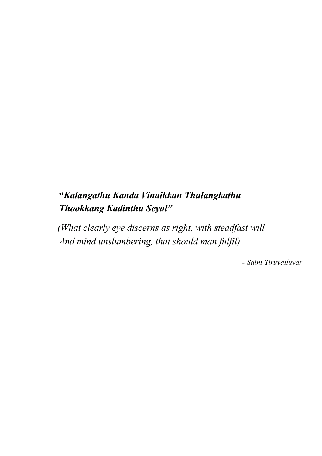# **"***Kalangathu Kanda Vinaikkan Thulangkathu Thookkang Kadinthu Seyal"*

*(What clearly eye discerns as right, with steadfast will And mind unslumbering, that should man fulfil)*

- *Saint Tiruvalluvar*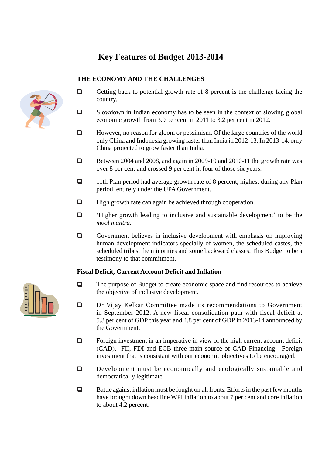## **Key Features of Budget 2013-2014**

### **THE ECONOMY AND THE CHALLENGES**



- $\Box$  Getting back to potential growth rate of 8 percent is the challenge facing the country.
- $\Box$  Slowdown in Indian economy has to be seen in the context of slowing global economic growth from 3.9 per cent in 2011 to 3.2 per cent in 2012.
- $\Box$  However, no reason for gloom or pessimism. Of the large countries of the world only China and Indonesia growing faster than India in 2012-13. In 2013-14, only China projected to grow faster than India.
- Between 2004 and 2008, and again in 2009-10 and 2010-11 the growth rate was over 8 per cent and crossed 9 per cent in four of those six years.
- 11th Plan period had average growth rate of 8 percent, highest during any Plan period, entirely under the UPA Government.
- $\Box$  High growth rate can again be achieved through cooperation.
- 'Higher growth leading to inclusive and sustainable development' to be the *mool mantra.*
- $\Box$  Government believes in inclusive development with emphasis on improving human development indicators specially of women, the scheduled castes, the scheduled tribes, the minorities and some backward classes. This Budget to be a testimony to that commitment.

### **Fiscal Deficit, Current Account Deficit and Inflation**

- The purpose of Budget to create economic space and find resources to achieve the objective of inclusive development.
- Dr Vijay Kelkar Committee made its recommendations to Government in September 2012. A new fiscal consolidation path with fiscal deficit at 5.3 per cent of GDP this year and 4.8 per cent of GDP in 2013-14 announced by the Government.
- $\Box$  Foreign investment in an imperative in view of the high current account deficit (CAD). FII, FDI and ECB three main source of CAD Financing. Foreign investment that is consistant with our economic objectives to be encouraged.
- Development must be economically and ecologically sustainable and democratically legitimate.
- $\Box$  Battle against inflation must be fought on all fronts. Efforts in the past few months have brought down headline WPI inflation to about 7 per cent and core inflation to about 4.2 percent.

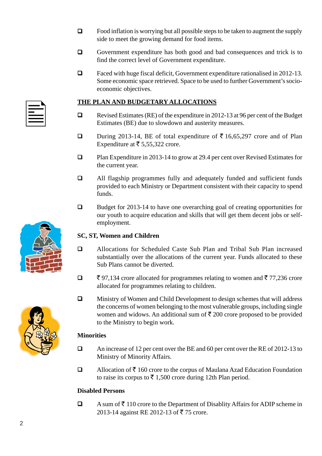- $\Box$  Food inflation is worrying but all possible steps to be taken to augment the supply side to meet the growing demand for food items.
- Government expenditure has both good and bad consequences and trick is to find the correct level of Government expenditure.
- □ Faced with huge fiscal deficit, Government expenditure rationalised in 2012-13. Some economic space retrieved. Space to be used to further Government's socioeconomic objectives.

### **THE PLAN AND BUDGETARY ALLOCATIONS**

- Revised Estimates (RE) of the expenditure in 2012-13 at 96 per cent of the Budget Estimates (BE) due to slowdown and austerity measures.
- **During 2013-14, BE of total expenditure of**  $\overline{\xi}$  **16,65,297 crore and of Plan** Expenditure at  $\bar{\bar{\xi}}$  5,55,322 crore.
- Plan Expenditure in 2013-14 to grow at 29.4 per cent over Revised Estimates for the current year.
- All flagship programmes fully and adequately funded and sufficient funds provided to each Ministry or Department consistent with their capacity to spend funds.
- $\Box$  Budget for 2013-14 to have one overarching goal of creating opportunities for our youth to acquire education and skills that will get them decent jobs or selfemployment.

### **SC, ST, Women and Children**

- Allocations for Scheduled Caste Sub Plan and Tribal Sub Plan increased substantially over the allocations of the current year. Funds allocated to these Sub Plans cannot be diverted.
- $\Box$   $\bar{\xi}$  97,134 crore allocated for programmes relating to women and  $\bar{\xi}$  77,236 crore allocated for programmes relating to children.
- Ministry of Women and Child Development to design schemes that will address the concerns of women belonging to the most vulnerable groups, including single women and widows. An additional sum of  $\bar{\tau}$  200 crore proposed to be provided to the Ministry to begin work.

### **Minorities**

- An increase of 12 per cent over the BE and 60 per cent over the RE of 2012-13 to Ministry of Minority Affairs.
- $\Box$  Allocation of  $\bar{\mathcal{F}}$  160 crore to the corpus of Maulana Azad Education Foundation to raise its corpus to  $\bar{\xi}$  1,500 crore during 12th Plan period.

### **Disabled Persons**

 $\Box$  A sum of  $\bar{\tau}$  110 crore to the Department of Disablity Affairs for ADIP scheme in 2013-14 against RE 2012-13 of ₹75 crore.





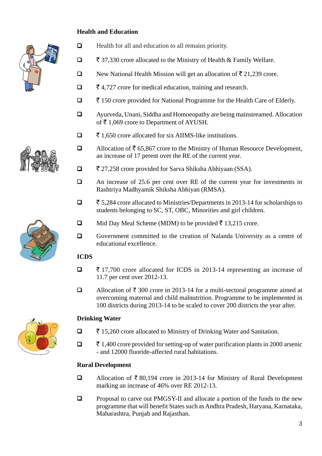### **Health and Education**





- ` 37,330 crore allocated to the Ministry of Health & Family Welfare.
- New National Health Mission will get an allocation of  $\bar{\tau}$  21,239 crore.
- $\Box$   $\bar{\bar{\xi}}$  4,727 crore for medical education, training and research.
- ` 150 crore provided for National Programme for the Health Care of Elderly.
- Ayurveda, Unani, Siddha and Homoeopathy are being mainstreamed. Allocation of  $\bar{\tau}$  1,069 crore to Department of AYUSH.
- $\Box$   $\bar{\bar{\tau}}$  1,650 crore allocated for six AIIMS-like institutions.
- □ Allocation of  $\bar{5}$  65,867 crore to the Ministry of Human Resource Development, an increase of 17 perent over the RE of the current year.
- $\Box$   $\bar{\bar{\xi}}$  27,258 crore provided for Sarva Shiksha Abhiyaan (SSA).
- An increase of 25.6 per cent over RE of the current year for investments in Rashtriya Madhyamik Shiksha Abhiyan (RMSA).
- ` 5,284 crore allocated to Ministries/Departments in 2013-14 for scholarships to students belonging to SC, ST, OBC, Minorities and girl children.
- $\Box$  Mid Day Meal Scheme (MDM) to be provided  $\bar{\tau}$  13,215 crore.
- Government committed to the creation of Nalanda University as a centre of educational excellence.

### **ICDS**

- $\Box$   $\bar{\tau}$  17,700 crore allocated for ICDS in 2013-14 representing an increase of 11.7 per cent over 2012-13.
- Allocation of  $\bar{\tau}$  300 crore in 2013-14 for a multi-sectoral programme aimed at overcoming maternal and child malnutrition. Programme to be implemented in 100 districts during 2013-14 to be scaled to cover 200 districts the year after.

### **Drinking Water**

- ` 15,260 crore allocated to Ministry of Drinking Water and Sanitation.
- $\Box$   $\bar{\tau}$  1,400 crore provided for setting-up of water purification plants in 2000 arsenic - and 12000 fluoride-affected rural habitations.

### **Rural Development**

- □ Allocation of  $\bar{z}$  80,194 crore in 2013-14 for Ministry of Rural Development marking an increase of 46% over RE 2012-13.
- $\Box$  Proposal to carve out PMGSY-II and allocate a portion of the funds to the new programme that will benefit States such as Andhra Pradesh, Haryana, Karnataka, Maharashtra, Punjab and Rajasthan.





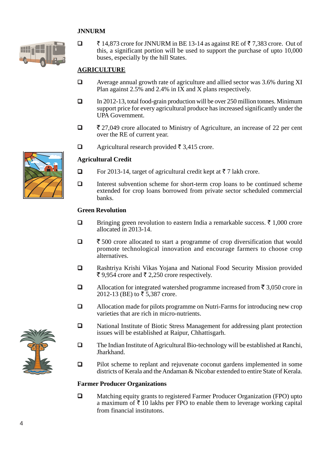### **JNNURM**



 $\Box$   $\bar{\zeta}$  14,873 crore for JNNURM in BE 13-14 as against RE of  $\bar{\zeta}$  7,383 crore. Out of this, a significant portion will be used to support the purchase of upto 10,000 buses, especially by the hill States.

### **AGRICULTURE**

- Average annual growth rate of agriculture and allied sector was 3.6% during XI Plan against 2.5% and 2.4% in IX and X plans respectively.
- $\Box$  In 2012-13, total food-grain production will be over 250 million tonnes. Minimum support price for every agricultural produce has increased significantly under the UPA Government.
- $\Box$   $\bar{\xi}$  27,049 crore allocated to Ministry of Agriculture, an increase of 22 per cent over the RE of current year.
- $\Box$  Agricultural research provided  $\bar{\tau}$  3,415 crore.

### **Agricultural Credit**

- $\Box$  For 2013-14, target of agricultural credit kept at  $\bar{\tau}$  7 lakh crore.
- $\Box$  Interest subvention scheme for short-term crop loans to be continued scheme extended for crop loans borrowed from private sector scheduled commercial banks.

#### **Green Revolution**

- $\Box$  Bringing green revolution to eastern India a remarkable success.  $\bar{\tau}$  1,000 crore allocated in 2013-14.
- $\Box$   $\bar{\xi}$  500 crore allocated to start a programme of crop diversification that would promote technological innovation and encourage farmers to choose crop alternatives.
- Rashtriya Krishi Vikas Yojana and National Food Security Mission provided ₹ 9,954 crore and ₹ 2,250 crore respectively.
- □ Allocation for integrated watershed programme increased from  $\bar{5}$  3,050 crore in 2012-13 (BE) to  $\bar{z}$  5,387 crore.
- Allocation made for pilots programme on Nutri-Farms for introducing new crop varieties that are rich in micro-nutrients.
- National Institute of Biotic Stress Management for addressing plant protection issues will be established at Raipur, Chhattisgarh.
- $\Box$  The Indian Institute of Agricultural Bio-technology will be established at Ranchi, Jharkhand.
- **Pilot scheme to replant and rejuvenate coconut gardens implemented in some** districts of Kerala and the Andaman & Nicobar extended to entire State of Kerala.

#### **Farmer Producer Organizations**

 Matching equity grants to registered Farmer Producer Organization (FPO) upto a maximum of  $\bar{z}$  10 lakhs per FPO to enable them to leverage working capital from financial institutons.



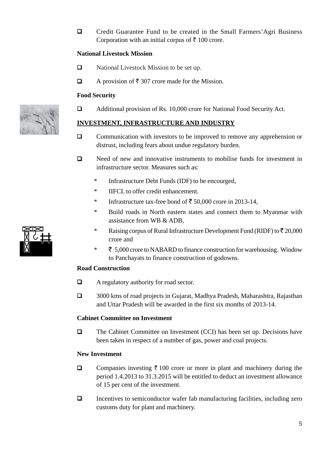Credit Guarantee Fund to be created in the Small Farmers'Agri Business Corporation with an initial corpus of  $\bar{\tau}$  100 crore.

### **National Livestock Mission**

- □ National Livestock Mission to be set up.
- A provision of  $\bar{\tau}$  307 crore made for the Mission.

### **Food Security**

□ Additional provision of Rs. 10,000 crore for National Food Security Act.

### **INVESTMENT, INFRASTRUCTURE AND INDUSTRY**

- $\Box$  Communication with investors to be improved to remove any apprehension or distrust, including fears about undue regulatory burden.
- $\Box$  Need of new and innovative instruments to mobilise funds for investment in infrastructure sector. Measures such as:
	- \* Infrastructure Debt Funds (IDF) to be encourged,
	- \* IIFCL to offer credit enhancement.
	- \* Infrastructure tax-free bond of  $\bar{\xi}$  50,000 crore in 2013-14,
	- \* Build roads in North eastern states and connect them to Myanmar with assistance from WB & ADB,
	- \* Raising corpus of Rural Infrastructure Development Fund (RIDF) to  $\bar{z}$  20,000 crore and
	- $\overline{\xi}$  5,000 crore to NABARD to finance construction for warehousing. Window to Panchayats to finance construction of godowns.

### **Road Construction**

- $\Box$  A regulatory authority for road sector.
- 3000 kms of road projects in Gujarat, Madhya Pradesh, Maharashtra, Rajasthan and Uttar Pradesh will be awarded in the first six months of 2013-14.

### **Cabinet Committee on Investment**

□ The Cabinet Committee on Investment (CCI) has been set up. Decisions have been taken in respect of a number of gas, power and coal projects.

### **New Investment**

- $\Box$  Companies investing  $\bar{\tau}$  100 crore or more in plant and machinery during the period 1.4.2013 to 31.3.2015 will be entitled to deduct an investment allowance of 15 per cent of the investment.
- $\Box$  Incentives to semiconductor wafer fab manufacturing facilities, including zero customs duty for plant and machinery.

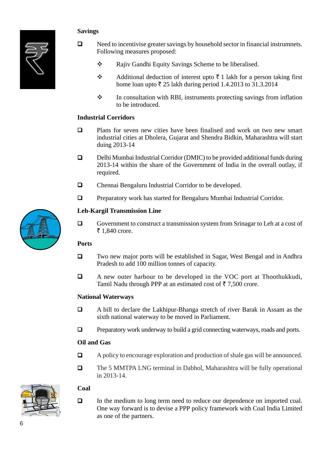### **Savings**



- $\Box$  Need to incentivise greater savings by household sector in financial instrumnets. Following measures proposed:
	- \* Rajiv Gandhi Equity Savings Scheme to be liberalised.
	- Additional deduction of interest upto  $\bar{\tau}$  1 lakh for a person taking first home loan upto  $\bar{\tau}$  25 lakh during period 1.4.2013 to 31.3.2014
	- $\cdot \cdot$  In consultation with RBI, instruments protecting savings from inflation to be introduced.

### **Industrial Corridors**

- $\Box$  Plans for seven new cities have been finalised and work on two new smart industrial cities at Dholera, Gujarat and Shendra Bidkin, Maharashtra will start duing 2013-14
- Delhi Mumbai Industrial Corridor (DMIC) to be provided additional funds during 2013-14 within the share of the Government of India in the overall outlay, if required.
- Chennai Bengaluru Industrial Corridor to be developed.
- **Q** Preparatory work has started for Bengaluru Mumbai Industrial Corridor.

### **Leh-Kargil Transmission Line**

 Government to construct a transmission system from Srinagar to Leh at a cost of ₹ 1,840 crore.

### **Ports**

- Two new major ports will be established in Sagar, West Bengal and in Andhra Pradesh to add 100 million tonnes of capacity.
- A new outer harbour to be developed in the VOC port at Thoothukkudi, Tamil Nadu through PPP at an estimated cost of  $\bar{z}$  7,500 crore.

### **National Waterways**

- A bill to declare the Lakhipur-Bhanga stretch of river Barak in Assam as the sixth national waterway to be moved in Parliament.
- $\Box$  Preparatory work underway to build a grid connecting waterways, roads and ports.

### **Oil and Gas**

- $\Box$  A policy to encourage exploration and production of shale gas will be announced.
- The 5 MMTPA LNG terminal in Dabhol, Maharashtra will be fully operational in 2013-14.

### **Coal**

 In the medium to long term need to reduce our dependence on imported coal. One way forward is to devise a PPP policy framework with Coal India Limited as one of the partners.



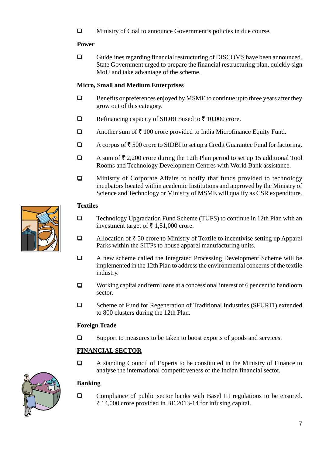Ministry of Coal to announce Government's policies in due course.

### **Power**

 Guidelines regarding financial restructuring of DISCOMS have been announced. State Government urged to prepare the financial restructuring plan, quickly sign MoU and take advantage of the scheme.

### **Micro, Small and Medium Enterprises**

- $\Box$  Benefits or preferences enjoyed by MSME to continue upto three years after they grow out of this category.
- Refinancing capacity of SIDBI raised to  $\bar{\tau}$  10,000 crore.
- Another sum of  $\bar{\tau}$  100 crore provided to India Microfinance Equity Fund.
- $\Box$  A corpus of  $\bar{\tau}$  500 crore to SIDBI to set up a Credit Guarantee Fund for factoring.
- A sum of  $\bar{\tau}$  2,200 crore during the 12th Plan period to set up 15 additional Tool Rooms and Technology Development Centres with World Bank assistance.
- $\Box$  Ministry of Corporate Affairs to notify that funds provided to technology incubators located within academic Institutions and approved by the Ministry of Science and Technology or Ministry of MSME will qualify as CSR expenditure.

### **Textiles**

- □ Technology Upgradation Fund Scheme (TUFS) to continue in 12th Plan with an investment target of  $\bar{\tau}$  1,51,000 crore.
- Allocation of  $\bar{\tau}$  50 crore to Ministry of Textile to incentivise setting up Apparel Parks within the SITPs to house apparel manufacturing units.
- A new scheme called the Integrated Processing Development Scheme will be implemented in the 12th Plan to address the environmental concerns of the textile industry.
- Working capital and term loans at a concessional interest of 6 per cent to handloom sector.
- □ Scheme of Fund for Regeneration of Traditional Industries (SFURTI) extended to 800 clusters during the 12th Plan.

### **Foreign Trade**

□ Support to measures to be taken to boost exports of goods and services.

### **FINANCIAL SECTOR**

 A standing Council of Experts to be constituted in the Ministry of Finance to analyse the international competitiveness of the Indian financial sector.

### **Banking**

**Q** Compliance of public sector banks with Basel III regulations to be ensured.  $\bar{\tau}$  14,000 crore provided in BE 2013-14 for infusing capital.



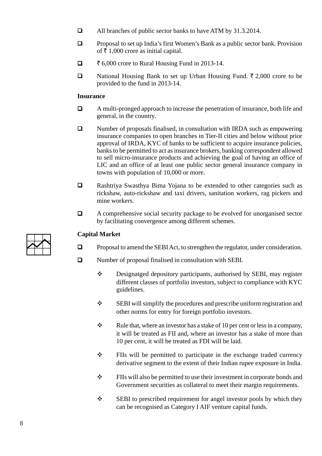- All branches of public sector banks to have ATM by 31.3.2014.
- **Q** Proposal to set up India's first Women's Bank as a public sector bank. Provision of  $\bar{\bar{\xi}}$  1,000 crore as initial capital.
- $\Box$   $\bar{\tau}$  6,000 crore to Rural Housing Fund in 2013-14.
- National Housing Bank to set up Urban Housing Fund.  $\bar{\tau}$  2,000 crore to be provided to the fund in 2013-14.

#### **Insurance**

- A multi-pronged approach to increase the penetration of insurance, both life and general, in the country.
- Number of proposals finalised, in consultation with IRDA such as empowering insurance companies to open branches in Tier-II cities and below without prior approval of IRDA, KYC of banks to be sufficient to acquire insurance policies, banks to be permitted to act as insurance brokers, banking correspondent allowed to sell micro-insurance products and achieving the goal of having an office of LIC and an office of at least one public sector general insurance company in towns with population of 10,000 or more.
- Rashtriya Swasthya Bima Yojana to be extended to other categories such as rickshaw, auto-rickshaw and taxi drivers, sanitation workers, rag pickers and mine workers.
- A comprehensive social security package to be evolved for unorganised sector by facilitating convergence among different schemes.

### **Capital Market**

- $\Box$  Proposal to amend the SEBI Act, to strengthen the regulator, under consideration.
- Number of proposal finalised in consultation with SEBI.
	- Designatged depository participants, authorised by SEBI, may register different classes of portfolio investors, subject to compliance with KYC guidelines.
	- SEBI will simplify the procedures and prescribe uniform registration and other norms for entry for foreign portfolio investors.
	- $\mathbf{\hat{\cdot}}$  Rule that, where an investor has a stake of 10 per cent or less in a company, it will be treated as FII and, where an investor has a stake of more than 10 per cent, it will be treated as FDI will be laid.
	- FIIs will be permitted to participate in the exchange traded currency derivative segment to the extent of their Indian rupee exposure in India.
	- FIIs will also be permitted to use their investment in corporate bonds and Government securities as collateral to meet their margin requirements.
	- $\div$  SEBI to prescribed requirement for angel investor pools by which they can be recognised as Category I AIF venture capital funds.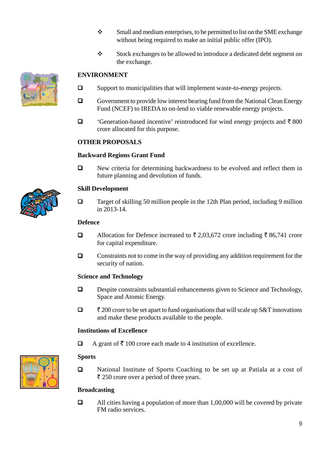- $\mathbf{\hat{S}}$  Small and medium enterprises, to be permitted to list on the SME exchange without being required to make an initial public offer (IPO).
- Stock exchanges to be allowed to introduce a dedicated debt segment on the exchange.

### **ENVIRONMENT**

- $\square$  Support to municipalities that will implement waste-to-energy projects.
- Government to provide low interest bearing fund from the National Clean Energy Fund (NCEF) to IREDA to on-lend to viable renewable energy projects.
- $\Box$  'Generation-based incentive' reintroduced for wind energy projects and  $\bar{\tau}$  800 crore allocated for this purpose.

### **OTHER PROPOSALS**

### **Backward Regions Grant Fund**

New criteria for determining backwardness to be evolved and reflect them in future planning and devolution of funds.

### **Skill Development**

 $\Box$  Target of skilling 50 million people in the 12th Plan period, including 9 million in 2013-14.

### **Defence**

- Allocation for Defence increased to  $\bar{\tau}$  2,03,672 crore including  $\bar{\tau}$  86,741 crore for capital expenditure.
- $\Box$  Constraints not to come in the way of providing any addition requirement for the security of nation.

### **Science and Technology**

- Despite constraints substantial enhancements given to Science and Technology, Space and Atomic Energy.
- $\Box$   $\bar{\tau}$  200 crore to be set apart to fund organisations that will scale up S&T innovations and make these products available to the people.

### **Institutions of Excellence**

 $\Box$  A grant of  $\bar{\tau}$  100 crore each made to 4 institution of excellence.

### **Sports**

□ National Institute of Sports Coaching to be set up at Patiala at a cost of  $\bar{\tau}$  250 crore over a period of three years.

### **Broadcasting**

 $\Box$  All cities having a population of more than 1,00,000 will be covered by private FM radio services.



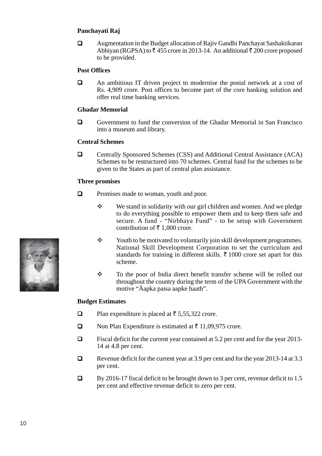### **Panchayati Raj**

 Augmentation in the Budget allocation of Rajiv Gandhi Panchayat Sashaktikaran Abhiyan (RGPSA) to  $\bar{\tau}$  455 crore in 2013-14. An additional  $\bar{\tau}$  200 crore proposed to be provided.

### **Post Offices**

 An ambitious IT driven project to modernise the postal network at a cost of Rs. 4,909 crore. Post offices to become part of the core banking solution and offer real time banking services.

### **Ghadar Memorial**

 Government to fund the conversion of the Ghadar Memorial in San Francisco into a museum and library.

### **Central Schemes**

□ Centrally Sponsored Schemes (CSS) and Additional Central Assistance (ACA) Schemes to be restructured into 70 schemes. Central fund for the schemes to be given to the States as part of central plan assistance.

### **Three promises**

- $\Box$  Promises made to woman, youth and poor.
	- We stand in solidarity with our girl children and women. And we pledge to do everything possible to empower them and to keep them safe and secure. A fund - "Nirbhaya Fund" - to be setup with Government contribution of  $\bar{\tau}$  1,000 crore.
	- \* Youth to be motivated to voluntarily join skill development programmes. National Skill Development Corporation to set the curriculum and standards for training in different skills.  $\bar{\tau}$  1000 crore set apart for this scheme.
	- To the poor of India direct benefit transfer scheme will be rolled out throughout the country during the term of the UPA Government with the motive "Äapka paisa aapke haath".

### **Budget Estimates**

- $\Box$  Plan expenditure is placed at  $\bar{\tau}$  5,55,322 crore.
- $\Box$  Non Plan Expenditure is estimated at  $\bar{\tau}$  11,09,975 crore.
- $\Box$  Fiscal deficit for the current year contained at 5.2 per cent and for the year 2013-14 at 4.8 per cent.
- Revenue deficit for the current year at 3.9 per cent and for the year 2013-14 at 3.3 per cent.
- $\Box$  By 2016-17 fiscal deficit to be brought down to 3 per cent, revenue deficit to 1.5 per cent and effective revenue deficit to zero per cent.

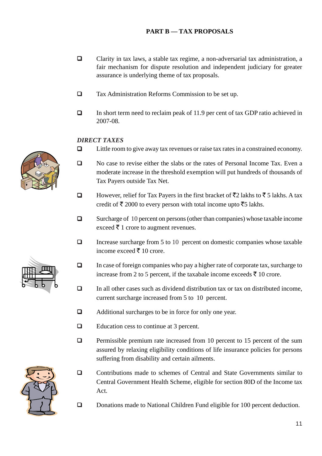### **PART B — TAX PROPOSALS**

- Clarity in tax laws, a stable tax regime, a non-adversarial tax administration, a fair mechanism for dispute resolution and independent judiciary for greater assurance is underlying theme of tax proposals.
- Tax Administration Reforms Commission to be set up.
- □ In short term need to reclaim peak of 11.9 per cent of tax GDP ratio achieved in 2007-08.

### *DIRECT TAXES*

- $\Box$  Little room to give away tax revenues or raise tax rates in a constrained economy.
- No case to revise either the slabs or the rates of Personal Income Tax. Even a moderate increase in the threshold exemption will put hundreds of thousands of Tax Payers outside Tax Net.
- □ However, relief for Tax Payers in the first bracket of  $\overline{5}$  2 lakhs to  $\overline{5}$  5 lakhs. A tax credit of  $\bar{\tau}$  2000 to every person with total income upto  $\bar{\tau}$ 5 lakhs.
- □ Surcharge of 10 percent on persons (other than companies) whose taxable income exceed  $\bar{\tau}$  1 crore to augment revenues.
- $\Box$  Increase surcharge from 5 to 10 percent on domestic companies whose taxable income exceed  $\bar{\tau}$  10 crore.
- $\Box$  In case of foreign companies who pay a higher rate of corporate tax, surcharge to increase from 2 to 5 percent, if the taxabale income exceeds  $\bar{\tau}$  10 crore.
- $\Box$  In all other cases such as dividend distribution tax or tax on distributed income, current surcharge increased from 5 to 10 percent.
- Additional surcharges to be in force for only one year.
- Education cess to continue at 3 percent.
- $\Box$  Permissible premium rate increased from 10 percent to 15 percent of the sum assured by relaxing eligibility conditions of life insurance policies for persons suffering from disability and certain ailments.
- Contributions made to schemes of Central and State Governments similar to Central Government Health Scheme, eligible for section 80D of the Income tax Act.
- Donations made to National Children Fund eligible for 100 percent deduction.





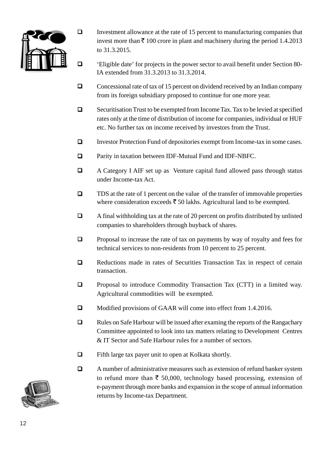

- Investment allowance at the rate of  $15$  percent to manufacturing companies that invest more than  $\bar{\tau}$  100 crore in plant and machinery during the period 1.4.2013 to 31.3.2015.
- 'Eligible date' for projects in the power sector to avail benefit under Section 80- IA extended from 31.3.2013 to 31.3.2014.
- $\Box$  Concessional rate of tax of 15 percent on dividend received by an Indian company from its foreign subsidiary proposed to continue for one more year.
- $\Box$  Securitisation Trust to be exempted from Income Tax. Tax to be levied at specified rates only at the time of distribution of income for companies, individual or HUF etc. No further tax on income received by investors from the Trust.
- Investor Protection Fund of depositories exempt from Income-tax in some cases.
- Parity in taxation between IDF-Mutual Fund and IDF-NBFC.
- A Category I AIF set up as Venture capital fund allowed pass through status under Income-tax Act.
- $\Box$  TDS at the rate of 1 percent on the value of the transfer of immovable properties where consideration exceeds  $\bar{\tau}$  50 lakhs. Agricultural land to be exempted.
- $\Box$  A final withholding tax at the rate of 20 percent on profits distributed by unlisted companies to shareholders through buyback of shares.
- $\Box$  Proposal to increase the rate of tax on payments by way of royalty and fees for technical services to non-residents from 10 percent to 25 percent.
- **Q** Reductions made in rates of Securities Transaction Tax in respect of certain transaction.
- **Q** Proposal to introduce Commodity Transaction Tax (CTT) in a limited way. Agricultural commodities will be exempted.
- Modified provisions of GAAR will come into effect from 1.4.2016.
- $\Box$  Rules on Safe Harbour will be issued after examing the reports of the Rangachary Committee appointed to look into tax matters relating to Development Centres & IT Sector and Safe Harbour rules for a number of sectors.
- $\Box$  Fifth large tax payer unit to open at Kolkata shortly.
- A number of administrative measures such as extension of refund banker system to refund more than  $\bar{\xi}$  50,000, technology based processing, extension of e-payment through more banks and expansion in the scope of annual information returns by Income-tax Department.

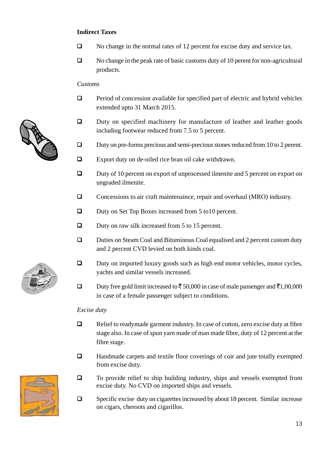### **Indirect Taxes**

- No change in the normal rates of 12 percent for excise duty and service tax.
- No change in the peak rate of basic customs duty of 10 perent for non-agricultural products.

### *Customs*

- $\Box$  Period of concession available for specified part of electric and hybrid vehicles extended upto 31 March 2015.
- Duty on specified machinery for manufacture of leather and leather goods including footwear reduced from 7.5 to 5 percent.
- $\Box$  Duty on pre-forms precious and semi-precious stones reduced from 10 to 2 perent.
- Export duty on de-oiled rice bran oil cake withdrawn.
- □ Duty of 10 percent on export of unprocessed ilmenite and 5 percent on export on ungraded ilmenite.
- □ Concessions to air craft maintenaince, repair and overhaul (MRO) industry.
- □ Duty on Set Top Boxes increased from 5 to 10 percent.
- $\Box$  Duty on raw silk increased from 5 to 15 percent.
- Duties on Steam Coal and Bituminous Coal equalised and 2 percent custom duty and 2 percent CVD levied on both kinds coal.
- □ Duty on imported luxury goods such as high end motor vehicles, motor cycles, yachts and similar vessels increased.
- Duty free gold limit increased to  $\bar{\tau}$  50,000 in case of male passenger and  $\bar{\tau}$ 1,00,000 in case of a female passenger subject to conditions.

### *Excise duty*

- Relief to readymade garment industry. In case of cotton, zero excise duty at fibre stage also. In case of spun yarn made of man made fibre, duty of 12 percent at the fibre stage.
- Handmade carpets and textile floor coverings of coir and jute totally exempted from excise duty.
- $\Box$  To provide relief to ship building industry, ships and vessels exempted from excise duty. No CVD on imported ships and vessels.
- $\Box$  Specific excise duty on cigarettes increased by about 18 percent. Similar increase on cigars, cheroots and cigarillos.